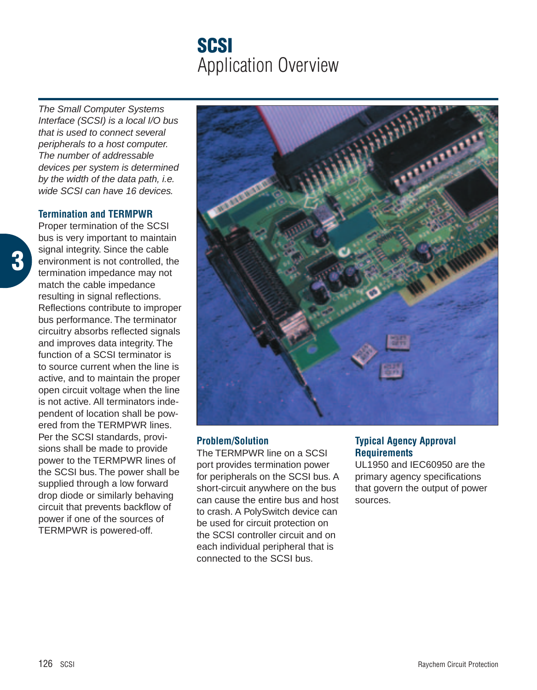# **SCSI** Application Overview

The Small Computer Systems Interface (SCSI) is a local I/O bus that is used to connect several peripherals to a host computer. The number of addressable devices per system is determined by the width of the data path, i.e. wide SCSI can have 16 devices.

#### **Termination and TERMPWR**

Proper termination of the SCSI bus is very important to maintain signal integrity. Since the cable environment is not controlled, the termination impedance may not match the cable impedance resulting in signal reflections. Reflections contribute to improper bus performance. The terminator circuitry absorbs reflected signals and improves data integrity. The function of a SCSI terminator is to source current when the line is active, and to maintain the proper open circuit voltage when the line is not active. All terminators independent of location shall be powered from the TERMPWR lines. Per the SCSI standards, provisions shall be made to provide power to the TERMPWR lines of the SCSI bus. The power shall be supplied through a low forward drop diode or similarly behaving circuit that prevents backflow of power if one of the sources of TERMPWR is powered-off.



## **Problem/Solution**

The TERMPWR line on a SCSI port provides termination power for peripherals on the SCSI bus. A short-circuit anywhere on the bus can cause the entire bus and host to crash. A PolySwitch device can be used for circuit protection on the SCSI controller circuit and on each individual peripheral that is connected to the SCSI bus.

## **Typical Agency Approval Requirements**

UL1950 and IEC60950 are the primary agency specifications that govern the output of power sources.

**3**